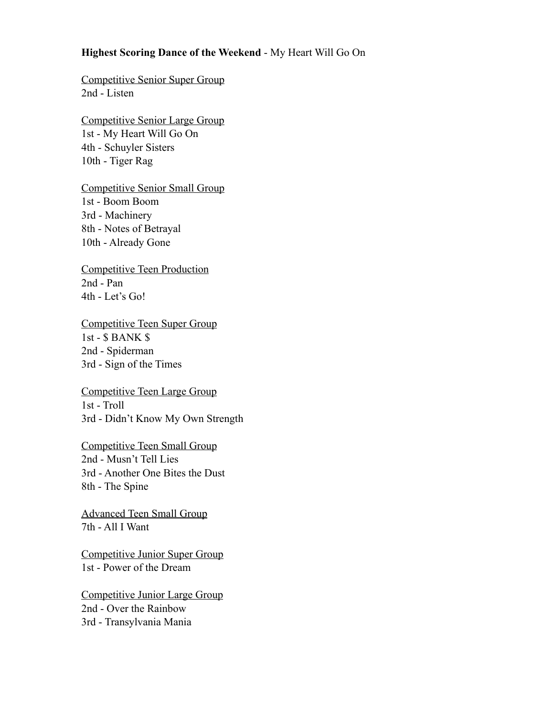## **Highest Scoring Dance of the Weekend** - My Heart Will Go On

Competitive Senior Super Group 2nd - Listen

Competitive Senior Large Group 1st - My Heart Will Go On 4th - Schuyler Sisters 10th - Tiger Rag

Competitive Senior Small Group 1st - Boom Boom 3rd - Machinery 8th - Notes of Betrayal 10th - Already Gone

Competitive Teen Production 2nd - Pan 4th - Let's Go!

Competitive Teen Super Group 1st - \$ BANK \$ 2nd - Spiderman 3rd - Sign of the Times

Competitive Teen Large Group 1st - Troll 3rd - Didn't Know My Own Strength

Competitive Teen Small Group 2nd - Musn't Tell Lies 3rd - Another One Bites the Dust 8th - The Spine

Advanced Teen Small Group 7th - All I Want

Competitive Junior Super Group 1st - Power of the Dream

Competitive Junior Large Group 2nd - Over the Rainbow 3rd - Transylvania Mania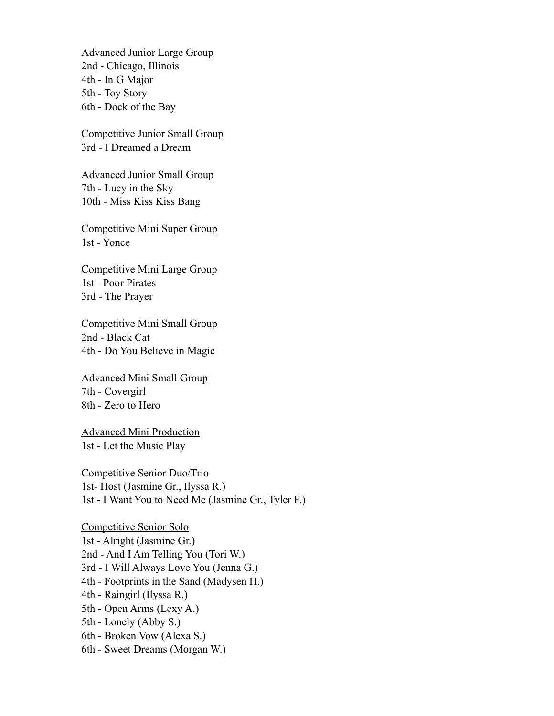Advanced Junior Large Group 2nd - Chicago, Illinois 4th - In G Major 5th - Toy Story 6th - Dock of the Bay

Competitive Junior Small Group 3rd - I Dreamed a Dream

Advanced Junior Small Group 7th - Lucy in the Sky 10th - Miss Kiss Kiss Bang

Competitive Mini Super Group 1st - Yonce

Competitive Mini Large Group 1st - Poor Pirates 3rd - The Prayer

Competitive Mini Small Group 2nd - Black Cat 4th - Do You Believe in Magic

Advanced Mini Small Group 7th - Covergirl 8th - Zero to Hero

Advanced Mini Production 1st - Let the Music Play

Competitive Senior Duo/Trio 1st- Host (Jasmine Gr., Ilyssa R.) 1st - I Want You to Need Me (Jasmine Gr., Tyler F.)

Competitive Senior Solo 1st - Alright (Jasmine Gr.) 2nd - And I Am Telling You (Tori W.) 3rd - I Will Always Love You (Jenna G.) 4th - Footprints in the Sand (Madysen H.) 4th - Raingirl (Ilyssa R.) 5th - Open Arms (Lexy A.) 5th - Lonely (Abby S.) 6th - Broken Vow (Alexa S.) 6th - Sweet Dreams (Morgan W.)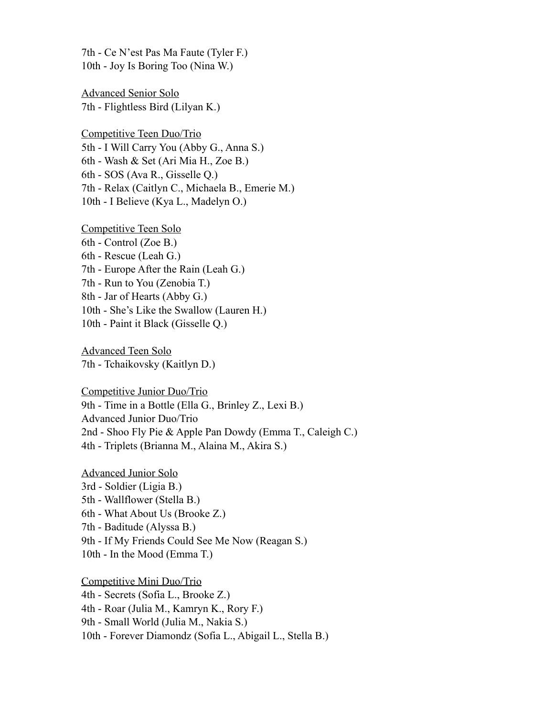7th - Ce N'est Pas Ma Faute (Tyler F.) 10th - Joy Is Boring Too (Nina W.)

Advanced Senior Solo 7th - Flightless Bird (Lilyan K.)

Competitive Teen Duo/Trio 5th - I Will Carry You (Abby G., Anna S.) 6th - Wash & Set (Ari Mia H., Zoe B.) 6th - SOS (Ava R., Gisselle Q.) 7th - Relax (Caitlyn C., Michaela B., Emerie M.) 10th - I Believe (Kya L., Madelyn O.)

Competitive Teen Solo 6th - Control (Zoe B.) 6th - Rescue (Leah G.) 7th - Europe After the Rain (Leah G.) 7th - Run to You (Zenobia T.) 8th - Jar of Hearts (Abby G.) 10th - She's Like the Swallow (Lauren H.) 10th - Paint it Black (Gisselle Q.)

Advanced Teen Solo 7th - Tchaikovsky (Kaitlyn D.)

Competitive Junior Duo/Trio 9th - Time in a Bottle (Ella G., Brinley Z., Lexi B.) Advanced Junior Duo/Trio 2nd - Shoo Fly Pie & Apple Pan Dowdy (Emma T., Caleigh C.) 4th - Triplets (Brianna M., Alaina M., Akira S.)

Advanced Junior Solo 3rd - Soldier (Ligia B.) 5th - Wallflower (Stella B.) 6th - What About Us (Brooke Z.) 7th - Baditude (Alyssa B.) 9th - If My Friends Could See Me Now (Reagan S.) 10th - In the Mood (Emma T.)

Competitive Mini Duo/Trio 4th - Secrets (Sofia L., Brooke Z.) 4th - Roar (Julia M., Kamryn K., Rory F.) 9th - Small World (Julia M., Nakia S.) 10th - Forever Diamondz (Sofia L., Abigail L., Stella B.)